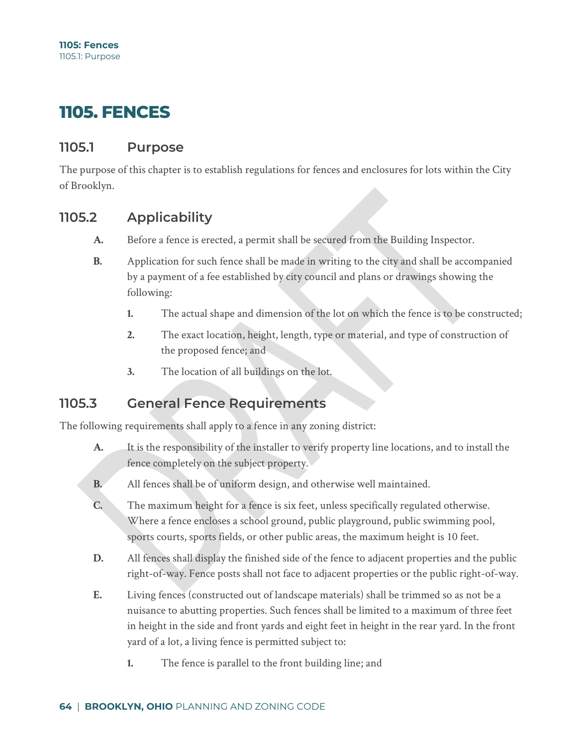# **1105. FENCES**

#### **1105.1 Purpose**

The purpose of this chapter is to establish regulations for fences and enclosures for lots within the City of Brooklyn.

### **1105.2 Applicability**

- **A.** Before a fence is erected, a permit shall be secured from the Building Inspector.
- **B.** Application for such fence shall be made in writing to the city and shall be accompanied by a payment of a fee established by city council and plans or drawings showing the following:
	- **1.** The actual shape and dimension of the lot on which the fence is to be constructed;
	- **2.** The exact location, height, length, type or material, and type of construction of the proposed fence; and
	- **3.** The location of all buildings on the lot.

#### **1105.3 General Fence Requirements**

The following requirements shall apply to a fence in any zoning district:

- **A.** It is the responsibility of the installer to verify property line locations, and to install the fence completely on the subject property.
- **B.** All fences shall be of uniform design, and otherwise well maintained.
- **C.** The maximum height for a fence is six feet, unless specifically regulated otherwise. Where a fence encloses a school ground, public playground, public swimming pool, sports courts, sports fields, or other public areas, the maximum height is 10 feet.
- **D.** All fences shall display the finished side of the fence to adjacent properties and the public right-of-way. Fence posts shall not face to adjacent properties or the public right-of-way.
- **E.** Living fences (constructed out of landscape materials) shall be trimmed so as not be a nuisance to abutting properties. Such fences shall be limited to a maximum of three feet in height in the side and front yards and eight feet in height in the rear yard. In the front yard of a lot, a living fence is permitted subject to:
	- **1.** The fence is parallel to the front building line; and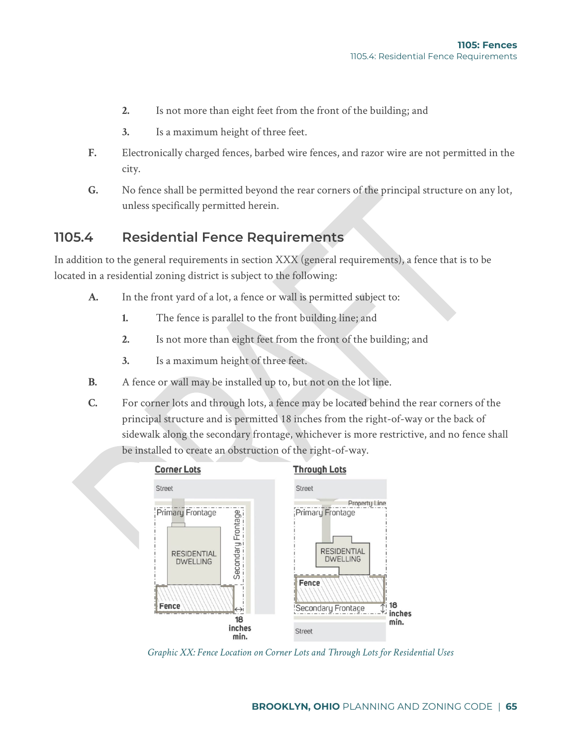- **2.** Is not more than eight feet from the front of the building; and
- **3.** Is a maximum height of three feet.
- **F.** Electronically charged fences, barbed wire fences, and razor wire are not permitted in the city.
- **G.** No fence shall be permitted beyond the rear corners of the principal structure on any lot, unless specifically permitted herein.

## **1105.4 Residential Fence Requirements**

In addition to the general requirements in section XXX (general requirements), a fence that is to be located in a residential zoning district is subject to the following:

- **A.** In the front yard of a lot, a fence or wall is permitted subject to:
	- **1.** The fence is parallel to the front building line; and
	- **2.** Is not more than eight feet from the front of the building; and
	- **3.** Is a maximum height of three feet.
- **B.** A fence or wall may be installed up to, but not on the lot line.
- **C.** For corner lots and through lots, a fence may be located behind the rear corners of the principal structure and is permitted 18 inches from the right-of-way or the back of sidewalk along the secondary frontage, whichever is more restrictive, and no fence shall be installed to create an obstruction of the right-of-way.



*Graphic XX: Fence Location on Corner Lots and Through Lots for Residential Uses*